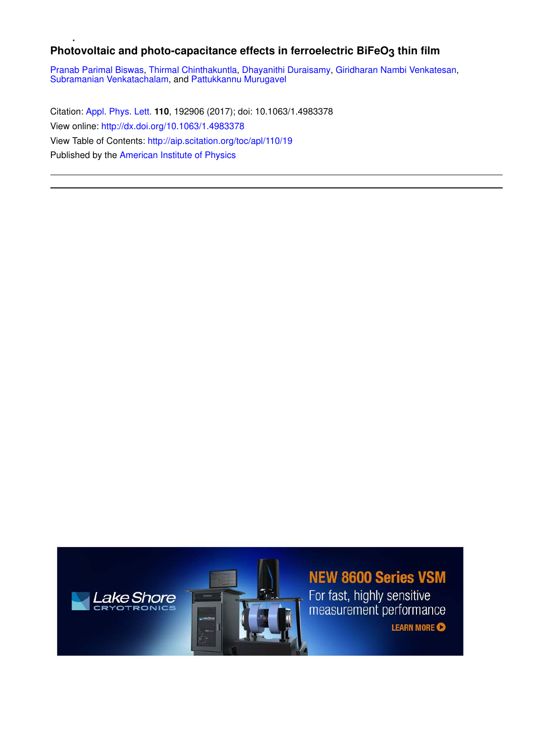## Photovoltaic and photo-capacitance effects in ferroelectric BiFeO<sub>3</sub> thin film

Pranab Parimal Biswas, Thirmal Chinthakuntla, Dhayanithi Duraisamy, Giridharan Nambi Venkatesan, Subramanian Venkatachalam, and Pattukkannu Murugavel

Citation: Appl. Phys. Lett. **110**, 192906 (2017); doi: 10.1063/1.4983378 View online: http://dx.doi.org/10.1063/1.4983378 View Table of Contents: http://aip.scitation.org/toc/apl/110/19 Published by the American Institute of Physics





## **NEW 8600 Series VSM**

For fast, highly sensitive<br>measurement performance

**LEARN MORE**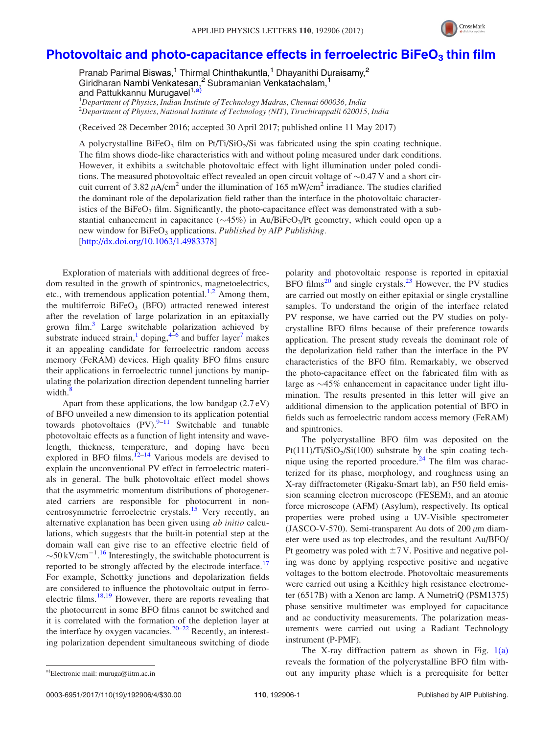

## Photovoltaic and photo-capacitance effects in ferroelectric  $B$ iFeO<sub>3</sub> thin film

Pranab Parimal Biswas,<sup>1</sup> Thirmal Chinthakuntla,<sup>1</sup> Dhayanithi Duraisamy,<sup>2</sup> Giridharan Nambi Venkatesan,<sup>2</sup> Subramanian Venkatachalam,<sup>1</sup> and Pattukkannu Murugavel<sup>1,a)</sup>

 $1$ Department of Physics, Indian Institute of Technology Madras, Chennai 600036, India  $^{2}$ Department of Physics, National Institute of Technology (NIT), Tiruchirappalli 620015, India

(Received 28 December 2016; accepted 30 April 2017; published online 11 May 2017)

A polycrystalline BiFeO<sub>3</sub> film on Pt/Ti/SiO<sub>2</sub>/Si was fabricated using the spin coating technique. The film shows diode-like characteristics with and without poling measured under dark conditions. However, it exhibits a switchable photovoltaic effect with light illumination under poled conditions. The measured photovoltaic effect revealed an open circuit voltage of  $\sim 0.47$  V and a short circuit current of 3.82  $\mu$ A/cm<sup>2</sup> under the illumination of 165 mW/cm<sup>2</sup> irradiance. The studies clarified the dominant role of the depolarization field rather than the interface in the photovoltaic characteristics of the BiFeO<sub>3</sub> film. Significantly, the photo-capacitance effect was demonstrated with a substantial enhancement in capacitance  $(\sim45\%)$  in Au/BiFeO<sub>3</sub>/Pt geometry, which could open up a new window for BiFeO<sub>3</sub> applications. Published by AIP Publishing.

[http://dx.doi.org/10.1063/1.4983378]

Exploration of materials with additional degrees of freedom resulted in the growth of spintronics, magnetoelectrics, etc., with tremendous application potential.<sup>1,2</sup> Among them, the multiferroic  $BiFeO<sub>3</sub>$  (BFO) attracted renewed interest after the revelation of large polarization in an epitaxially grown film.<sup>3</sup> Large switchable polarization achieved by substrate induced strain,<sup>1</sup> doping,  $4\overline{6}$  and buffer layer<sup>7</sup> makes it an appealing candidate for ferroelectric random access memory (FeRAM) devices. High quality BFO films ensure their applications in ferroelectric tunnel junctions by manipulating the polarization direction dependent tunneling barrier width. $\frac{8}{3}$ 

Apart from these applications, the low bandgap (2.7 eV) of BFO unveiled a new dimension to its application potential towards photovoltaics  $(PV)$ .<sup>9–11</sup> Switchable and tunable photovoltaic effects as a function of light intensity and wavelength, thickness, temperature, and doping have been explored in BFO films.<sup>12–14</sup> Various models are devised to explain the unconventional PV effect in ferroelectric materials in general. The bulk photovoltaic effect model shows that the asymmetric momentum distributions of photogenerated carriers are responsible for photocurrent in noncentrosymmetric ferroelectric crystals.<sup>15</sup> Very recently, an alternative explanation has been given using ab initio calculations, which suggests that the built-in potential step at the domain wall can give rise to an effective electric field of  $\sim$ 50 kV/cm<sup>-1</sup>.<sup>16</sup> Interestingly, the switchable photocurrent is reported to be strongly affected by the electrode interface.<sup>17</sup> For example, Schottky junctions and depolarization fields are considered to influence the photovoltaic output in ferroelectric films.<sup>18,19</sup> However, there are reports revealing that the photocurrent in some BFO films cannot be switched and it is correlated with the formation of the depletion layer at the interface by oxygen vacancies.<sup>20–22</sup> Recently, an interesting polarization dependent simultaneous switching of diode

polarity and photovoltaic response is reported in epitaxial BFO films<sup>20</sup> and single crystals.<sup>23</sup> However, the PV studies are carried out mostly on either epitaxial or single crystalline samples. To understand the origin of the interface related PV response, we have carried out the PV studies on polycrystalline BFO films because of their preference towards application. The present study reveals the dominant role of the depolarization field rather than the interface in the PV characteristics of the BFO film. Remarkably, we observed the photo-capacitance effect on the fabricated film with as large as  $\sim$ 45% enhancement in capacitance under light illumination. The results presented in this letter will give an additional dimension to the application potential of BFO in fields such as ferroelectric random access memory (FeRAM) and spintronics.

The polycrystalline BFO film was deposited on the  $Pt(111)/Ti/SiO<sub>2</sub>/Si(100)$  substrate by the spin coating technique using the reported procedure.<sup>24</sup> The film was characterized for its phase, morphology, and roughness using an X-ray diffractometer (Rigaku-Smart lab), an F50 field emission scanning electron microscope (FESEM), and an atomic force microscope (AFM) (Asylum), respectively. Its optical properties were probed using a UV-Visible spectrometer (JASCO-V-570). Semi-transparent Au dots of  $200 \mu m$  diameter were used as top electrodes, and the resultant Au/BFO/ Pt geometry was poled with  $\pm$  7 V. Positive and negative poling was done by applying respective positive and negative voltages to the bottom electrode. Photovoltaic measurements were carried out using a Keithley high resistance electrometer (6517B) with a Xenon arc lamp. A NumetriQ (PSM1375) phase sensitive multimeter was employed for capacitance and ac conductivity measurements. The polarization measurements were carried out using a Radiant Technology instrument (P-PMF).

The X-ray diffraction pattern as shown in Fig.  $1(a)$ reveals the formation of the polycrystalline BFO film witha)Electronic mail: muruga@iitm.ac.in **a)** out any impurity phase which is a prerequisite for better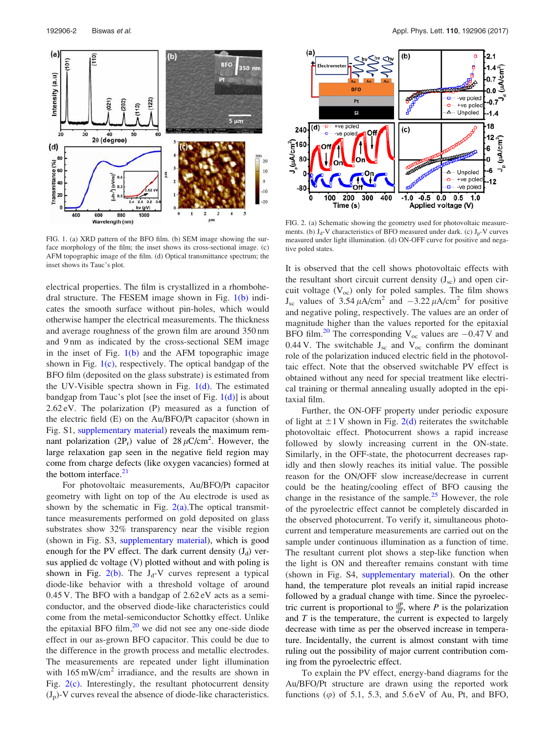

FIG. 1. (a) XRD pattern of the BFO film. (b) SEM image showing the surface morphology of the film; the inset shows its cross-sectional image. (c) AFM topographic image of the film. (d) Optical transmittance spectrum; the inset shows its Tauc's plot.

electrical properties. The film is crystallized in a rhombohedral structure. The FESEM image shown in Fig.  $1(b)$  indicates the smooth surface without pin-holes, which would otherwise hamper the electrical measurements. The thickness and average roughness of the grown film are around 350 nm and 9 nm as indicated by the cross-sectional SEM image in the inset of Fig.  $1(b)$  and the AFM topographic image shown in Fig.  $1(c)$ , respectively. The optical bandgap of the BFO film (deposited on the glass substrate) is estimated from the UV-Visible spectra shown in Fig.  $1(d)$ . The estimated bandgap from Tauc's plot [see the inset of Fig.  $1(d)$ ] is about 2.62 eV. The polarization (P) measured as a function of the electric field (E) on the Au/BFO/Pt capacitor (shown in Fig. S1, supplementary material) reveals the maximum remnant polarization (2P<sub>r</sub>) value of 28  $\mu$ C/cm<sup>2</sup>. However, the large relaxation gap seen in the negative field region may come from charge defects (like oxygen vacancies) formed at the bottom interface. $21$ 

For photovoltaic measurements, Au/BFO/Pt capacitor geometry with light on top of the Au electrode is used as shown by the schematic in Fig.  $2(a)$ . The optical transmittance measurements performed on gold deposited on glass substrates show 32% transparency near the visible region (shown in Fig. S3, supplementary material), which is good enough for the PV effect. The dark current density  $(J_d)$  versus applied dc voltage (V) plotted without and with poling is shown in Fig.  $2(b)$ . The J<sub>d</sub>-V curves represent a typical diode-like behavior with a threshold voltage of around 0.45 V. The BFO with a bandgap of 2.62 eV acts as a semiconductor, and the observed diode-like characteristics could come from the metal-semiconductor Schottky effect. Unlike the epitaxial BFO film, $^{20}$  we did not see any one-side diode effect in our as-grown BFO capacitor. This could be due to the difference in the growth process and metallic electrodes. The measurements are repeated under light illumination with  $165 \text{ mW/cm}^2$  irradiance, and the results are shown in Fig.  $2(c)$ . Interestingly, the resultant photocurrent density  $(J_p)$ -V curves reveal the absence of diode-like characteristics.



FIG. 2. (a) Schematic showing the geometry used for photovoltaic measurements. (b)  $J_d$ -V characteristics of BFO measured under dark. (c)  $J_p$ -V curves measured under light illumination. (d) ON-OFF curve for positive and negative poled states.

It is observed that the cell shows photovoltaic effects with the resultant short circuit current density  $(J_{\rm sc})$  and open circuit voltage  $(V_{oc})$  only for poled samples. The film shows  $J_{\rm sc}$  values of 3.54  $\mu$ A/cm<sup>2</sup> and  $-3.22 \mu$ A/cm<sup>2</sup> for positive and negative poling, respectively. The values are an order of magnitude higher than the values reported for the epitaxial BFO film.<sup>20</sup> The corresponding  $V_{\text{oc}}$  values are  $-0.47$  V and 0.44 V. The switchable  $J_{\rm sc}$  and  $V_{\rm oc}$  confirm the dominant role of the polarization induced electric field in the photovoltaic effect. Note that the observed switchable PV effect is obtained without any need for special treatment like electrical training or thermal annealing usually adopted in the epitaxial film.

Further, the ON-OFF property under periodic exposure of light at  $\pm 1$  V shown in Fig. 2(d) reiterates the switchable photovoltaic effect. Photocurrent shows a rapid increase followed by slowly increasing current in the ON-state. Similarly, in the OFF-state, the photocurrent decreases rapidly and then slowly reaches its initial value. The possible reason for the ON/OFF slow increase/decrease in current could be the heating/cooling effect of BFO causing the change in the resistance of the sample. $25$  However, the role of the pyroelectric effect cannot be completely discarded in the observed photocurrent. To verify it, simultaneous photocurrent and temperature measurements are carried out on the sample under continuous illumination as a function of time. The resultant current plot shows a step-like function when the light is ON and thereafter remains constant with time (shown in Fig. S4, supplementary material). On the other hand, the temperature plot reveals an initial rapid increase followed by a gradual change with time. Since the pyroelectric current is proportional to  $\frac{dP}{dT}$ , where P is the polarization and  $T$  is the temperature, the current is expected to largely decrease with time as per the observed increase in temperature. Incidentally, the current is almost constant with time ruling out the possibility of major current contribution coming from the pyroelectric effect.

To explain the PV effect, energy-band diagrams for the Au/BFO/Pt structure are drawn using the reported work functions  $(\varphi)$  of 5.1, 5.3, and 5.6 eV of Au, Pt, and BFO,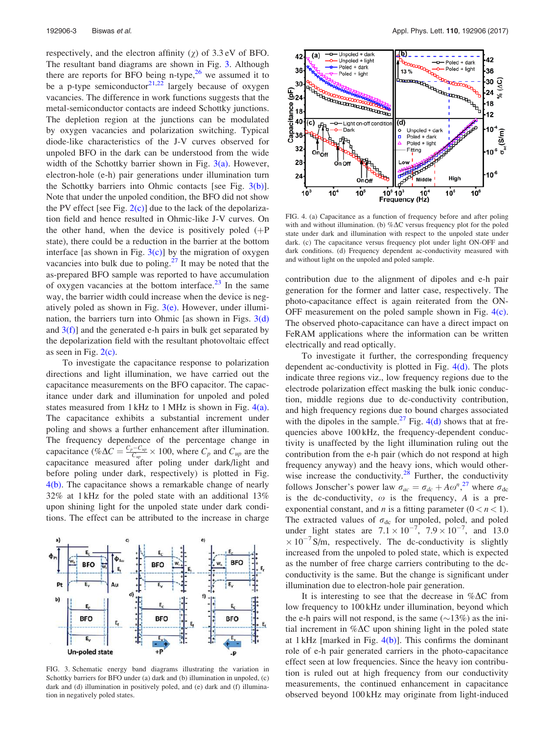respectively, and the electron affinity  $(\chi)$  of 3.3 eV of BFO. The resultant band diagrams are shown in Fig. 3. Although there are reports for BFO being n-type, $26$  we assumed it to be a p-type semiconductor $2^{1,22}$  largely because of oxygen vacancies. The difference in work functions suggests that the metal-semiconductor contacts are indeed Schottky junctions. The depletion region at the junctions can be modulated by oxygen vacancies and polarization switching. Typical diode-like characteristics of the J-V curves observed for unpoled BFO in the dark can be understood from the wide width of the Schottky barrier shown in Fig.  $3(a)$ . However, electron-hole (e-h) pair generations under illumination turn the Schottky barriers into Ohmic contacts [see Fig.  $3(b)$ ]. Note that under the unpoled condition, the BFO did not show the PV effect [see Fig.  $2(c)$ ] due to the lack of the depolarization field and hence resulted in Ohmic-like J-V curves. On the other hand, when the device is positively poled  $(+)$ state), there could be a reduction in the barrier at the bottom interface [as shown in Fig.  $3(c)$ ] by the migration of oxygen vacancies into bulk due to poling. $27$  It may be noted that the as-prepared BFO sample was reported to have accumulation of oxygen vacancies at the bottom interface. $^{23}$  In the same way, the barrier width could increase when the device is negatively poled as shown in Fig.  $3(e)$ . However, under illumination, the barriers turn into Ohmic [as shown in Figs.  $3(d)$ ] and  $3(f)$ ] and the generated e-h pairs in bulk get separated by the depolarization field with the resultant photovoltaic effect as seen in Fig.  $2(c)$ .

To investigate the capacitance response to polarization directions and light illumination, we have carried out the capacitance measurements on the BFO capacitor. The capacitance under dark and illumination for unpoled and poled states measured from 1 kHz to 1 MHz is shown in Fig.  $4(a)$ . The capacitance exhibits a substantial increment under poling and shows a further enhancement after illumination. The frequency dependence of the percentage change in capacitance  $\phi \Delta C = \frac{C_p - C_{up}}{C}$  $\frac{C_{\mu\nu}}{C_{\mu\rho}} \times 100$ , where  $C_p$  and  $C_{\mu\rho}$  are the capacitance measured after poling under dark/light and before poling under dark, respectively) is plotted in Fig. 4(b). The capacitance shows a remarkable change of nearly 32% at 1 kHz for the poled state with an additional 13% upon shining light for the unpoled state under dark conditions. The effect can be attributed to the increase in charge



FIG. 3. Schematic energy band diagrams illustrating the variation in Schottky barriers for BFO under (a) dark and (b) illumination in unpoled, (c) dark and (d) illumination in positively poled, and (e) dark and (f) illumination in negatively poled states.



FIG. 4. (a) Capacitance as a function of frequency before and after poling with and without illumination. (b)  $% \Delta C$  versus frequency plot for the poled state under dark and illumination with respect to the unpoled state under dark. (c) The capacitance versus frequency plot under light ON-OFF and dark conditions. (d) Frequency dependent ac-conductivity measured with and without light on the unpoled and poled sample.

contribution due to the alignment of dipoles and e-h pair generation for the former and latter case, respectively. The photo-capacitance effect is again reiterated from the ON-OFF measurement on the poled sample shown in Fig.  $4(c)$ . The observed photo-capacitance can have a direct impact on FeRAM applications where the information can be written electrically and read optically.

To investigate it further, the corresponding frequency dependent ac-conductivity is plotted in Fig.  $4(d)$ . The plots indicate three regions viz., low frequency regions due to the electrode polarization effect masking the bulk ionic conduction, middle regions due to dc-conductivity contribution, and high frequency regions due to bound charges associated with the dipoles in the sample.<sup>27</sup> Fig.  $4(d)$  shows that at frequencies above 100 kHz, the frequency-dependent conductivity is unaffected by the light illumination ruling out the contribution from the e-h pair (which do not respond at high frequency anyway) and the heavy ions, which would otherwise increase the conductivity. $28$  Further, the conductivity follows Jonscher's power law  $\sigma_{ac} = \sigma_{dc} + A\omega^n$ <sup>27</sup> where  $\sigma_{dc}$ is the dc-conductivity,  $\omega$  is the frequency, A is a preexponential constant, and *n* is a fitting parameter  $(0 < n < 1)$ . The extracted values of  $\sigma_{dc}$  for unpoled, poled, and poled under light states are  $7.1 \times 10^{-7}$ ,  $7.9 \times 10^{-7}$ , and 13.0  $\times 10^{-7}$  S/m, respectively. The dc-conductivity is slightly increased from the unpoled to poled state, which is expected as the number of free charge carriers contributing to the dcconductivity is the same. But the change is significant under illumination due to electron-hole pair generation.

It is interesting to see that the decrease in  $\% \Delta C$  from low frequency to 100 kHz under illumination, beyond which the e-h pairs will not respond, is the same  $(\sim 13\%)$  as the initial increment in  $% \Delta C$  upon shining light in the poled state at  $1 \text{ kHz}$  [marked in Fig.  $4(b)$ ]. This confirms the dominant role of e-h pair generated carriers in the photo-capacitance effect seen at low frequencies. Since the heavy ion contribution is ruled out at high frequency from our conductivity measurements, the continued enhancement in capacitance observed beyond 100 kHz may originate from light-induced